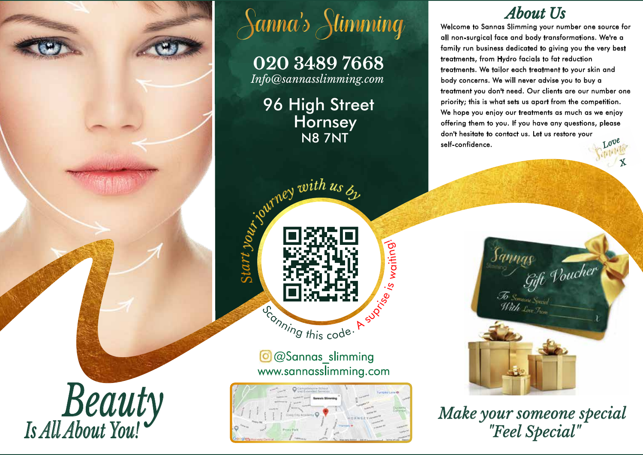

# Sanna's Stimming

**020 3489 7668** *Info@sannasslimming.com* 

96 High Street **Hornsey** N8 7NT



.হ w

aiting<sup>)</sup>

@Sannas\_slimming www.sannasslimming.com



# *About Us*

Welcome to Sannas Slimming your number one source for all non-surgical face and body transformations. We're a family run business dedicated to giving you the very best treatments, from Hydro facials to fat reduction treatments. We tailor each treatment to your skin and body concerns. We will never advise you to buy a treatment you don't need. Our clients are our number one priority; this is what sets us apart from the competition. We hope you enjoy our treatments as much as we enjoy offering them to you. If you have any questions, please don't hesitate to contact us. Let us restore your self-confidence. *Love*

*X*

*Make your someone special*<br>"*Feel Special*"

Jamnac

Jo Someone Species

as<br>Gift Poucher